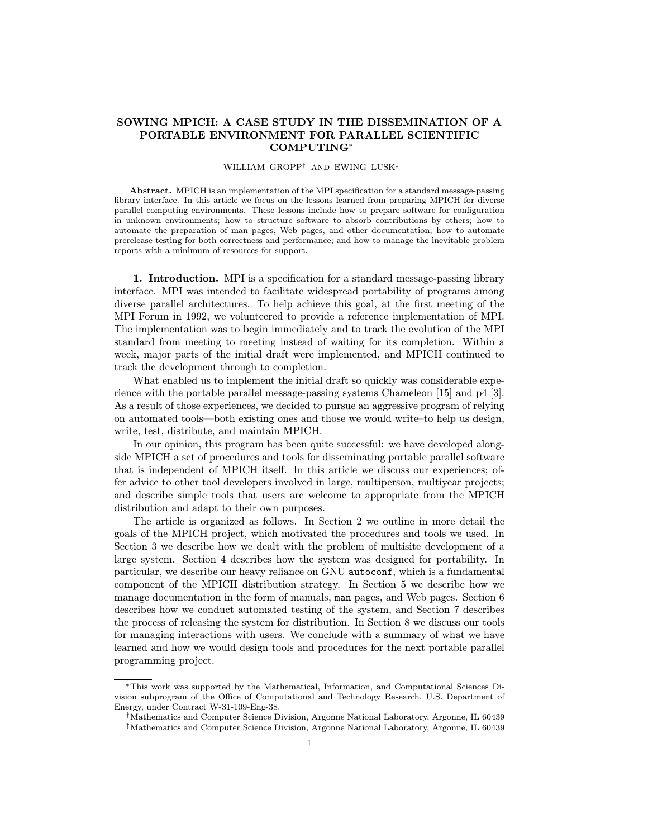## SOWING MPICH: A CASE STUDY IN THE DISSEMINATION OF A PORTABLE ENVIRONMENT FOR PARALLEL SCIENTIFIC COMPUTING<sup>∗</sup>

## WILLIAM GROPP† AND EWING LUSK‡

Abstract. MPICH is an implementation of the MPI specification for a standard message-passing library interface. In this article we focus on the lessons learned from preparing MPICH for diverse parallel computing environments. These lessons include how to prepare software for configuration in unknown environments; how to structure software to absorb contributions by others; how to automate the preparation of man pages, Web pages, and other documentation; how to automate prerelease testing for both correctness and performance; and how to manage the inevitable problem reports with a minimum of resources for support.

1. Introduction. MPI is a specification for a standard message-passing library interface. MPI was intended to facilitate widespread portability of programs among diverse parallel architectures. To help achieve this goal, at the first meeting of the MPI Forum in 1992, we volunteered to provide a reference implementation of MPI. The implementation was to begin immediately and to track the evolution of the MPI standard from meeting to meeting instead of waiting for its completion. Within a week, major parts of the initial draft were implemented, and MPICH continued to track the development through to completion.

What enabled us to implement the initial draft so quickly was considerable experience with the portable parallel message-passing systems Chameleon [15] and p4 [3]. As a result of those experiences, we decided to pursue an aggressive program of relying on automated tools—both existing ones and those we would write–to help us design, write, test, distribute, and maintain MPICH.

In our opinion, this program has been quite successful: we have developed alongside MPICH a set of procedures and tools for disseminating portable parallel software that is independent of MPICH itself. In this article we discuss our experiences; offer advice to other tool developers involved in large, multiperson, multiyear projects; and describe simple tools that users are welcome to appropriate from the MPICH distribution and adapt to their own purposes.

The article is organized as follows. In Section 2 we outline in more detail the goals of the MPICH project, which motivated the procedures and tools we used. In Section 3 we describe how we dealt with the problem of multisite development of a large system. Section 4 describes how the system was designed for portability. In particular, we describe our heavy reliance on GNU autoconf, which is a fundamental component of the MPICH distribution strategy. In Section 5 we describe how we manage documentation in the form of manuals, man pages, and Web pages. Section 6 describes how we conduct automated testing of the system, and Section 7 describes the process of releasing the system for distribution. In Section 8 we discuss our tools for managing interactions with users. We conclude with a summary of what we have learned and how we would design tools and procedures for the next portable parallel programming project.

<sup>∗</sup>This work was supported by the Mathematical, Information, and Computational Sciences Division subprogram of the Office of Computational and Technology Research, U.S. Department of Energy, under Contract W-31-109-Eng-38.

<sup>†</sup>Mathematics and Computer Science Division, Argonne National Laboratory, Argonne, IL 60439 ‡Mathematics and Computer Science Division, Argonne National Laboratory, Argonne, IL 60439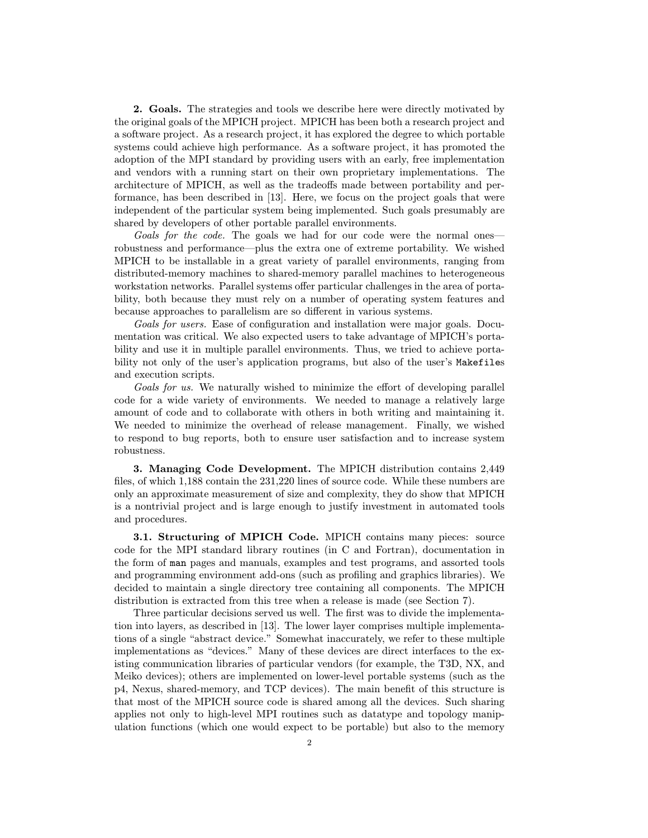2. Goals. The strategies and tools we describe here were directly motivated by the original goals of the MPICH project. MPICH has been both a research project and a software project. As a research project, it has explored the degree to which portable systems could achieve high performance. As a software project, it has promoted the adoption of the MPI standard by providing users with an early, free implementation and vendors with a running start on their own proprietary implementations. The architecture of MPICH, as well as the tradeoffs made between portability and performance, has been described in [13]. Here, we focus on the project goals that were independent of the particular system being implemented. Such goals presumably are shared by developers of other portable parallel environments.

Goals for the code. The goals we had for our code were the normal onesrobustness and performance—plus the extra one of extreme portability. We wished MPICH to be installable in a great variety of parallel environments, ranging from distributed-memory machines to shared-memory parallel machines to heterogeneous workstation networks. Parallel systems offer particular challenges in the area of portability, both because they must rely on a number of operating system features and because approaches to parallelism are so different in various systems.

Goals for users. Ease of configuration and installation were major goals. Documentation was critical. We also expected users to take advantage of MPICH's portability and use it in multiple parallel environments. Thus, we tried to achieve portability not only of the user's application programs, but also of the user's Makefiles and execution scripts.

Goals for us. We naturally wished to minimize the effort of developing parallel code for a wide variety of environments. We needed to manage a relatively large amount of code and to collaborate with others in both writing and maintaining it. We needed to minimize the overhead of release management. Finally, we wished to respond to bug reports, both to ensure user satisfaction and to increase system robustness.

3. Managing Code Development. The MPICH distribution contains 2,449 files, of which 1,188 contain the 231,220 lines of source code. While these numbers are only an approximate measurement of size and complexity, they do show that MPICH is a nontrivial project and is large enough to justify investment in automated tools and procedures.

3.1. Structuring of MPICH Code. MPICH contains many pieces: source code for the MPI standard library routines (in C and Fortran), documentation in the form of man pages and manuals, examples and test programs, and assorted tools and programming environment add-ons (such as profiling and graphics libraries). We decided to maintain a single directory tree containing all components. The MPICH distribution is extracted from this tree when a release is made (see Section 7).

Three particular decisions served us well. The first was to divide the implementation into layers, as described in [13]. The lower layer comprises multiple implementations of a single "abstract device." Somewhat inaccurately, we refer to these multiple implementations as "devices." Many of these devices are direct interfaces to the existing communication libraries of particular vendors (for example, the T3D, NX, and Meiko devices); others are implemented on lower-level portable systems (such as the p4, Nexus, shared-memory, and TCP devices). The main benefit of this structure is that most of the MPICH source code is shared among all the devices. Such sharing applies not only to high-level MPI routines such as datatype and topology manipulation functions (which one would expect to be portable) but also to the memory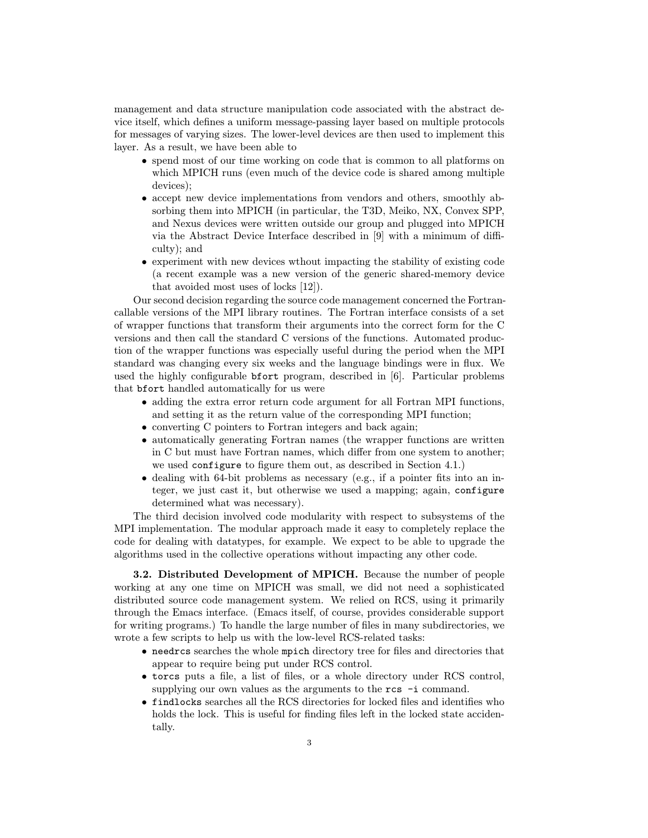management and data structure manipulation code associated with the abstract device itself, which defines a uniform message-passing layer based on multiple protocols for messages of varying sizes. The lower-level devices are then used to implement this layer. As a result, we have been able to

- spend most of our time working on code that is common to all platforms on which MPICH runs (even much of the device code is shared among multiple devices);
- accept new device implementations from vendors and others, smoothly absorbing them into MPICH (in particular, the T3D, Meiko, NX, Convex SPP, and Nexus devices were written outside our group and plugged into MPICH via the Abstract Device Interface described in [9] with a minimum of difficulty); and
- experiment with new devices wthout impacting the stability of existing code (a recent example was a new version of the generic shared-memory device that avoided most uses of locks [12]).

Our second decision regarding the source code management concerned the Fortrancallable versions of the MPI library routines. The Fortran interface consists of a set of wrapper functions that transform their arguments into the correct form for the C versions and then call the standard C versions of the functions. Automated production of the wrapper functions was especially useful during the period when the MPI standard was changing every six weeks and the language bindings were in flux. We used the highly configurable bfort program, described in [6]. Particular problems that bfort handled automatically for us were

- adding the extra error return code argument for all Fortran MPI functions, and setting it as the return value of the corresponding MPI function;
- converting C pointers to Fortran integers and back again;
- automatically generating Fortran names (the wrapper functions are written in C but must have Fortran names, which differ from one system to another; we used configure to figure them out, as described in Section 4.1.)
- dealing with 64-bit problems as necessary (e.g., if a pointer fits into an integer, we just cast it, but otherwise we used a mapping; again, configure determined what was necessary).

The third decision involved code modularity with respect to subsystems of the MPI implementation. The modular approach made it easy to completely replace the code for dealing with datatypes, for example. We expect to be able to upgrade the algorithms used in the collective operations without impacting any other code.

3.2. Distributed Development of MPICH. Because the number of people working at any one time on MPICH was small, we did not need a sophisticated distributed source code management system. We relied on RCS, using it primarily through the Emacs interface. (Emacs itself, of course, provides considerable support for writing programs.) To handle the large number of files in many subdirectories, we wrote a few scripts to help us with the low-level RCS-related tasks:

- needrcs searches the whole mpich directory tree for files and directories that appear to require being put under RCS control.
- torcs puts a file, a list of files, or a whole directory under RCS control, supplying our own values as the arguments to the rcs -i command.
- findlocks searches all the RCS directories for locked files and identifies who holds the lock. This is useful for finding files left in the locked state accidentally.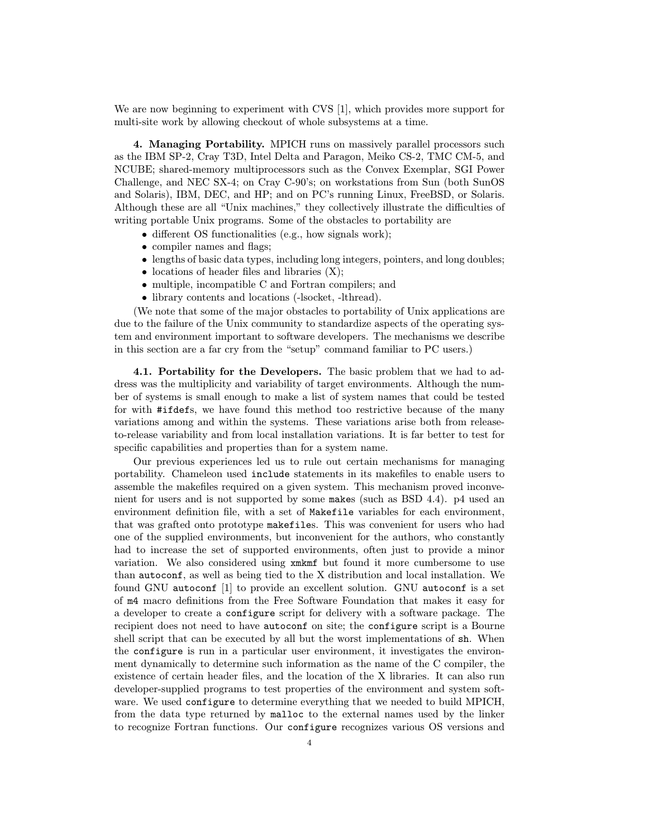We are now beginning to experiment with CVS [1], which provides more support for multi-site work by allowing checkout of whole subsystems at a time.

4. Managing Portability. MPICH runs on massively parallel processors such as the IBM SP-2, Cray T3D, Intel Delta and Paragon, Meiko CS-2, TMC CM-5, and NCUBE; shared-memory multiprocessors such as the Convex Exemplar, SGI Power Challenge, and NEC SX-4; on Cray C-90's; on workstations from Sun (both SunOS and Solaris), IBM, DEC, and HP; and on PC's running Linux, FreeBSD, or Solaris. Although these are all "Unix machines," they collectively illustrate the difficulties of writing portable Unix programs. Some of the obstacles to portability are

- different OS functionalities (e.g., how signals work);
- compiler names and flags;
- lengths of basic data types, including long integers, pointers, and long doubles;
- locations of header files and libraries  $(X)$ ;
- multiple, incompatible C and Fortran compilers; and
- library contents and locations (-lsocket, -lthread).

(We note that some of the major obstacles to portability of Unix applications are due to the failure of the Unix community to standardize aspects of the operating system and environment important to software developers. The mechanisms we describe in this section are a far cry from the "setup" command familiar to PC users.)

4.1. Portability for the Developers. The basic problem that we had to address was the multiplicity and variability of target environments. Although the number of systems is small enough to make a list of system names that could be tested for with #ifdefs, we have found this method too restrictive because of the many variations among and within the systems. These variations arise both from releaseto-release variability and from local installation variations. It is far better to test for specific capabilities and properties than for a system name.

Our previous experiences led us to rule out certain mechanisms for managing portability. Chameleon used include statements in its makefiles to enable users to assemble the makefiles required on a given system. This mechanism proved inconvenient for users and is not supported by some makes (such as BSD 4.4). p4 used an environment definition file, with a set of Makefile variables for each environment, that was grafted onto prototype makefiles. This was convenient for users who had one of the supplied environments, but inconvenient for the authors, who constantly had to increase the set of supported environments, often just to provide a minor variation. We also considered using xmkmf but found it more cumbersome to use than autoconf, as well as being tied to the X distribution and local installation. We found GNU autoconf [1] to provide an excellent solution. GNU autoconf is a set of m4 macro definitions from the Free Software Foundation that makes it easy for a developer to create a configure script for delivery with a software package. The recipient does not need to have autoconf on site; the configure script is a Bourne shell script that can be executed by all but the worst implementations of sh. When the configure is run in a particular user environment, it investigates the environment dynamically to determine such information as the name of the C compiler, the existence of certain header files, and the location of the X libraries. It can also run developer-supplied programs to test properties of the environment and system software. We used configure to determine everything that we needed to build MPICH, from the data type returned by malloc to the external names used by the linker to recognize Fortran functions. Our configure recognizes various OS versions and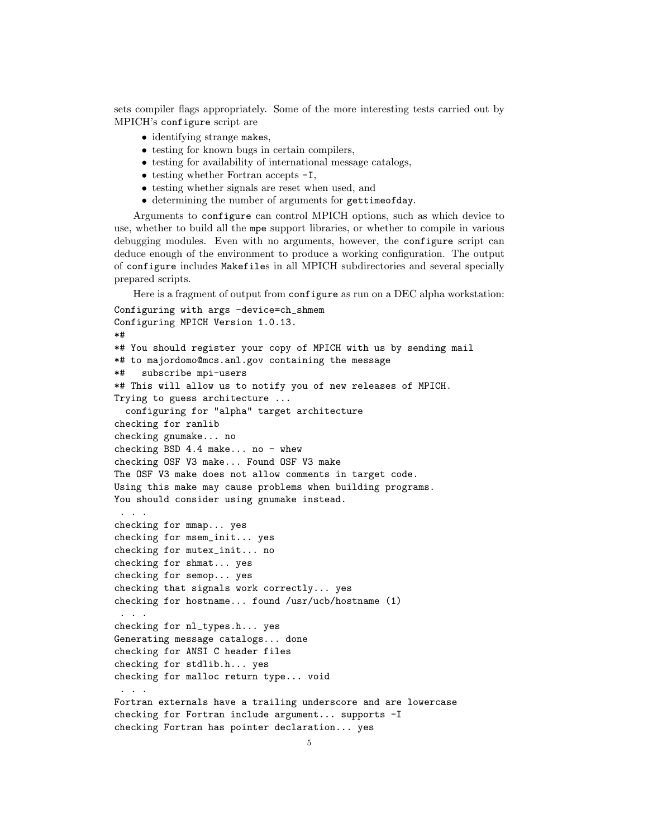sets compiler flags appropriately. Some of the more interesting tests carried out by MPICH's configure script are

- identifying strange makes,
- testing for known bugs in certain compilers,
- testing for availability of international message catalogs,
- testing whether Fortran accepts  $-I$ ,
- testing whether signals are reset when used, and
- determining the number of arguments for gettimeofday.

Arguments to configure can control MPICH options, such as which device to use, whether to build all the mpe support libraries, or whether to compile in various debugging modules. Even with no arguments, however, the configure script can deduce enough of the environment to produce a working configuration. The output of configure includes Makefiles in all MPICH subdirectories and several specially prepared scripts.

Here is a fragment of output from configure as run on a DEC alpha workstation:

```
Configuring with args -device=ch_shmem
Configuring MPICH Version 1.0.13.
*#
*# You should register your copy of MPICH with us by sending mail
*# to majordomo@mcs.anl.gov containing the message
*# subscribe mpi-users
*# This will allow us to notify you of new releases of MPICH.
Trying to guess architecture ...
  configuring for "alpha" target architecture
checking for ranlib
checking gnumake... no
checking BSD 4.4 make... no - whew
checking OSF V3 make... Found OSF V3 make
The OSF V3 make does not allow comments in target code.
Using this make may cause problems when building programs.
You should consider using gnumake instead.
 . . .
checking for mmap... yes
checking for msem_init... yes
checking for mutex_init... no
checking for shmat... yes
checking for semop... yes
checking that signals work correctly... yes
checking for hostname... found /usr/ucb/hostname (1)
 . . .
checking for nl_types.h... yes
Generating message catalogs... done
checking for ANSI C header files
checking for stdlib.h... yes
checking for malloc return type... void
 . . .
Fortran externals have a trailing underscore and are lowercase
checking for Fortran include argument... supports -I
checking Fortran has pointer declaration... yes
```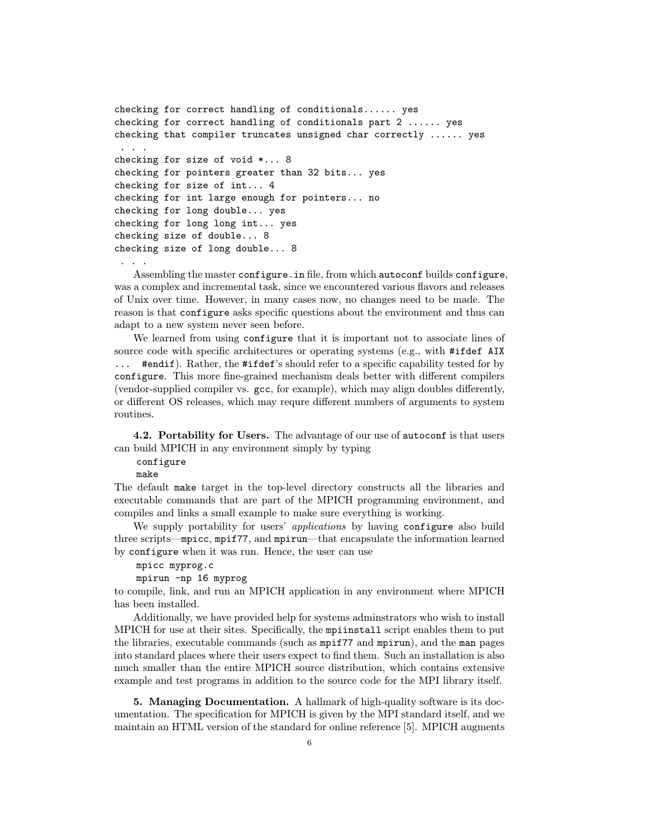```
checking for correct handling of conditionals...... yes
checking for correct handling of conditionals part 2 ...... yes
checking that compiler truncates unsigned char correctly ...... yes
. . .
checking for size of void *... 8
checking for pointers greater than 32 bits... yes
checking for size of int... 4
checking for int large enough for pointers... no
checking for long double... yes
checking for long long int... yes
checking size of double... 8
checking size of long double... 8
 . . .
```
Assembling the master configure.in file, from which autoconf builds configure, was a complex and incremental task, since we encountered various flavors and releases of Unix over time. However, in many cases now, no changes need to be made. The reason is that configure asks specific questions about the environment and thus can adapt to a new system never seen before.

We learned from using configure that it is important not to associate lines of source code with specific architectures or operating systems (e.g., with #ifdef AIX ... #endif). Rather, the #ifdef's should refer to a specific capability tested for by configure. This more fine-grained mechanism deals better with different compilers (vendor-supplied compiler vs. gcc, for example), which may align doubles differently, or different OS releases, which may requre different numbers of arguments to system routines.

4.2. Portability for Users. The advantage of our use of autoconf is that users can build MPICH in any environment simply by typing

configure

make

The default make target in the top-level directory constructs all the libraries and executable commands that are part of the MPICH programming environment, and compiles and links a small example to make sure everything is working.

We supply portability for users' *applications* by having configure also build three scripts—mpicc, mpif77, and mpirun—that encapsulate the information learned by configure when it was run. Hence, the user can use

mpicc myprog.c

mpirun -np 16 myprog

to compile, link, and run an MPICH application in any environment where MPICH has been installed.

Additionally, we have provided help for systems adminstrators who wish to install MPICH for use at their sites. Specifically, the mpiinstall script enables them to put the libraries, executable commands (such as mpif77 and mpirun), and the man pages into standard places where their users expect to find them. Such an installation is also much smaller than the entire MPICH source distribution, which contains extensive example and test programs in addition to the source code for the MPI library itself.

5. Managing Documentation. A hallmark of high-quality software is its documentation. The specification for MPICH is given by the MPI standard itself, and we maintain an HTML version of the standard for online reference [5]. MPICH augments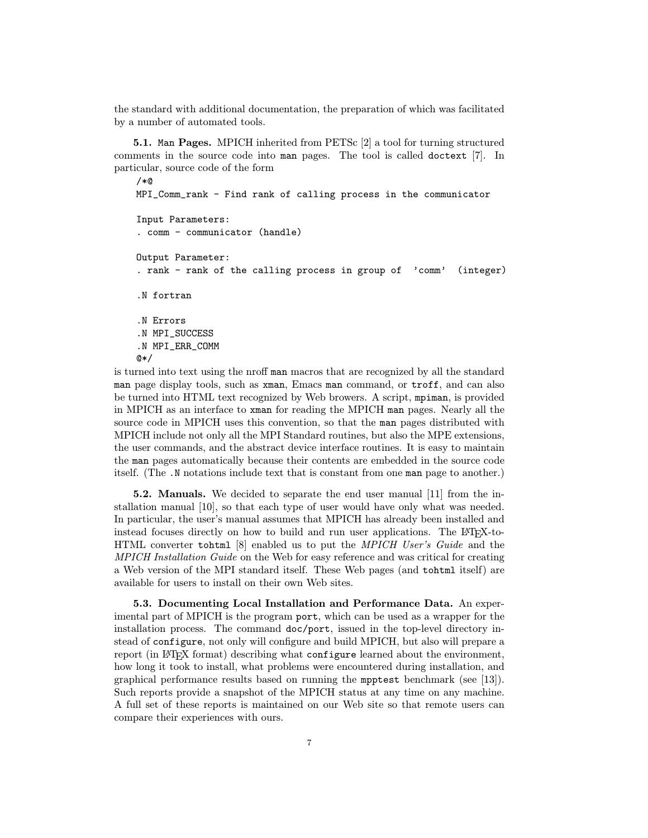the standard with additional documentation, the preparation of which was facilitated by a number of automated tools.

5.1. Man Pages. MPICH inherited from PETSc [2] a tool for turning structured comments in the source code into man pages. The tool is called doctext [7]. In particular, source code of the form

```
/*@
MPI_Comm_rank - Find rank of calling process in the communicator
Input Parameters:
. comm - communicator (handle)
Output Parameter:
. rank - rank of the calling process in group of 'comm' (integer)
.N fortran
.N Errors
.N MPI_SUCCESS
.N MPI_ERR_COMM
@*/
```
is turned into text using the nroff man macros that are recognized by all the standard man page display tools, such as xman, Emacs man command, or troff, and can also be turned into HTML text recognized by Web browers. A script, mpiman, is provided in MPICH as an interface to xman for reading the MPICH man pages. Nearly all the source code in MPICH uses this convention, so that the man pages distributed with MPICH include not only all the MPI Standard routines, but also the MPE extensions, the user commands, and the abstract device interface routines. It is easy to maintain the man pages automatically because their contents are embedded in the source code itself. (The .N notations include text that is constant from one man page to another.)

5.2. Manuals. We decided to separate the end user manual [11] from the installation manual [10], so that each type of user would have only what was needed. In particular, the user's manual assumes that MPICH has already been installed and instead focuses directly on how to build and run user applications. The L<sup>A</sup>T<sub>E</sub>X-to-HTML converter tohtml [8] enabled us to put the MPICH User's Guide and the MPICH Installation Guide on the Web for easy reference and was critical for creating a Web version of the MPI standard itself. These Web pages (and tohtml itself) are available for users to install on their own Web sites.

5.3. Documenting Local Installation and Performance Data. An experimental part of MPICH is the program port, which can be used as a wrapper for the installation process. The command doc/port, issued in the top-level directory instead of configure, not only will configure and build MPICH, but also will prepare a report (in LAT<sub>EX</sub> format) describing what configure learned about the environment, how long it took to install, what problems were encountered during installation, and graphical performance results based on running the mpptest benchmark (see [13]). Such reports provide a snapshot of the MPICH status at any time on any machine. A full set of these reports is maintained on our Web site so that remote users can compare their experiences with ours.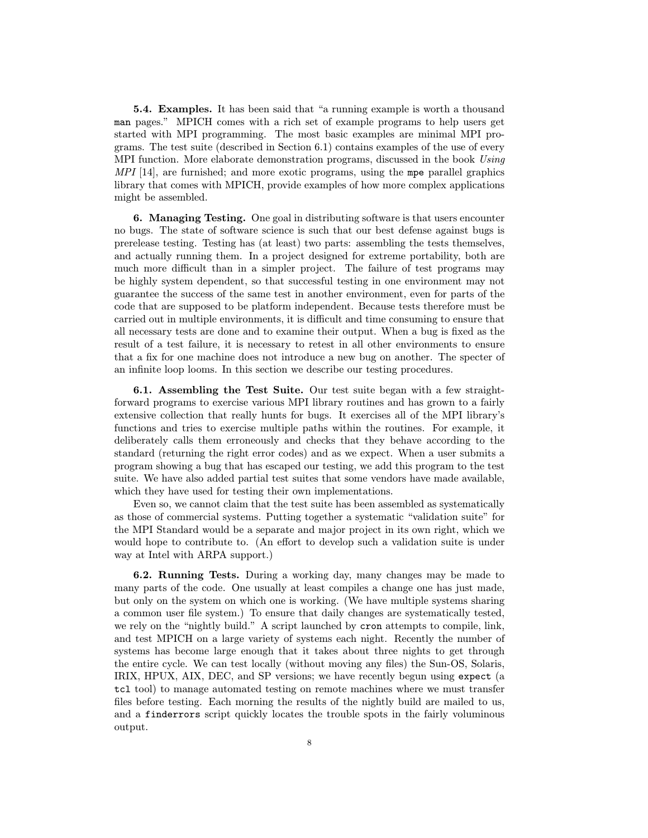5.4. Examples. It has been said that "a running example is worth a thousand man pages." MPICH comes with a rich set of example programs to help users get started with MPI programming. The most basic examples are minimal MPI programs. The test suite (described in Section 6.1) contains examples of the use of every MPI function. More elaborate demonstration programs, discussed in the book Using  $MPI [14]$ , are furnished; and more exotic programs, using the mpe parallel graphics library that comes with MPICH, provide examples of how more complex applications might be assembled.

6. Managing Testing. One goal in distributing software is that users encounter no bugs. The state of software science is such that our best defense against bugs is prerelease testing. Testing has (at least) two parts: assembling the tests themselves, and actually running them. In a project designed for extreme portability, both are much more difficult than in a simpler project. The failure of test programs may be highly system dependent, so that successful testing in one environment may not guarantee the success of the same test in another environment, even for parts of the code that are supposed to be platform independent. Because tests therefore must be carried out in multiple environments, it is difficult and time consuming to ensure that all necessary tests are done and to examine their output. When a bug is fixed as the result of a test failure, it is necessary to retest in all other environments to ensure that a fix for one machine does not introduce a new bug on another. The specter of an infinite loop looms. In this section we describe our testing procedures.

6.1. Assembling the Test Suite. Our test suite began with a few straightforward programs to exercise various MPI library routines and has grown to a fairly extensive collection that really hunts for bugs. It exercises all of the MPI library's functions and tries to exercise multiple paths within the routines. For example, it deliberately calls them erroneously and checks that they behave according to the standard (returning the right error codes) and as we expect. When a user submits a program showing a bug that has escaped our testing, we add this program to the test suite. We have also added partial test suites that some vendors have made available, which they have used for testing their own implementations.

Even so, we cannot claim that the test suite has been assembled as systematically as those of commercial systems. Putting together a systematic "validation suite" for the MPI Standard would be a separate and major project in its own right, which we would hope to contribute to. (An effort to develop such a validation suite is under way at Intel with ARPA support.)

6.2. Running Tests. During a working day, many changes may be made to many parts of the code. One usually at least compiles a change one has just made, but only on the system on which one is working. (We have multiple systems sharing a common user file system.) To ensure that daily changes are systematically tested, we rely on the "nightly build." A script launched by cron attempts to compile, link, and test MPICH on a large variety of systems each night. Recently the number of systems has become large enough that it takes about three nights to get through the entire cycle. We can test locally (without moving any files) the Sun-OS, Solaris, IRIX, HPUX, AIX, DEC, and SP versions; we have recently begun using expect (a tcl tool) to manage automated testing on remote machines where we must transfer files before testing. Each morning the results of the nightly build are mailed to us, and a finderrors script quickly locates the trouble spots in the fairly voluminous output.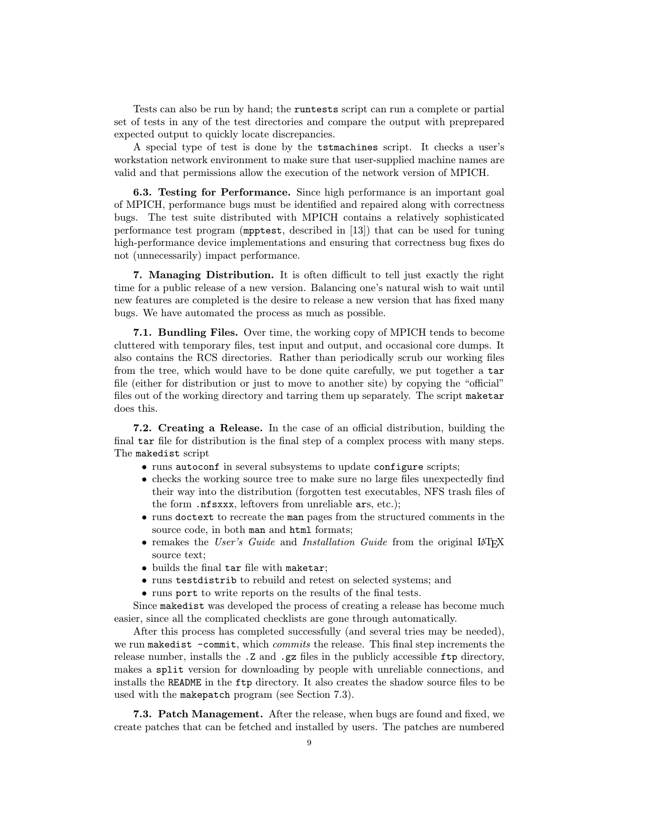Tests can also be run by hand; the runtests script can run a complete or partial set of tests in any of the test directories and compare the output with preprepared expected output to quickly locate discrepancies.

A special type of test is done by the tstmachines script. It checks a user's workstation network environment to make sure that user-supplied machine names are valid and that permissions allow the execution of the network version of MPICH.

6.3. Testing for Performance. Since high performance is an important goal of MPICH, performance bugs must be identified and repaired along with correctness bugs. The test suite distributed with MPICH contains a relatively sophisticated performance test program (mpptest, described in [13]) that can be used for tuning high-performance device implementations and ensuring that correctness bug fixes do not (unnecessarily) impact performance.

7. Managing Distribution. It is often difficult to tell just exactly the right time for a public release of a new version. Balancing one's natural wish to wait until new features are completed is the desire to release a new version that has fixed many bugs. We have automated the process as much as possible.

7.1. Bundling Files. Over time, the working copy of MPICH tends to become cluttered with temporary files, test input and output, and occasional core dumps. It also contains the RCS directories. Rather than periodically scrub our working files from the tree, which would have to be done quite carefully, we put together a tar file (either for distribution or just to move to another site) by copying the "official" files out of the working directory and tarring them up separately. The script maketar does this.

7.2. Creating a Release. In the case of an official distribution, building the final tar file for distribution is the final step of a complex process with many steps. The makedist script

- runs autoconf in several subsystems to update configure scripts;
- checks the working source tree to make sure no large files unexpectedly find their way into the distribution (forgotten test executables, NFS trash files of the form .nfsxxx, leftovers from unreliable ars, etc.);
- runs doctext to recreate the man pages from the structured comments in the source code, in both man and html formats;
- remakes the User's Guide and Installation Guide from the original LATEX source text;
- builds the final tar file with maketar;
- runs testdistrib to rebuild and retest on selected systems; and
- runs port to write reports on the results of the final tests.

Since makedist was developed the process of creating a release has become much easier, since all the complicated checklists are gone through automatically.

After this process has completed successfully (and several tries may be needed), we run makedist -commit, which *commits* the release. This final step increments the release number, installs the .Z and .gz files in the publicly accessible  $ftp$  directory, makes a split version for downloading by people with unreliable connections, and installs the README in the ftp directory. It also creates the shadow source files to be used with the makepatch program (see Section 7.3).

7.3. Patch Management. After the release, when bugs are found and fixed, we create patches that can be fetched and installed by users. The patches are numbered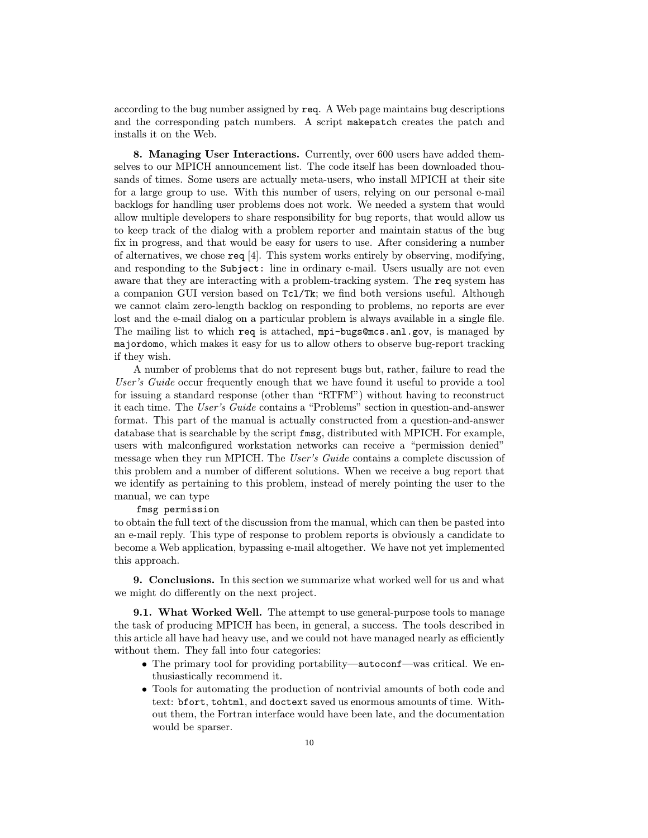according to the bug number assigned by req. A Web page maintains bug descriptions and the corresponding patch numbers. A script makepatch creates the patch and installs it on the Web.

8. Managing User Interactions. Currently, over 600 users have added themselves to our MPICH announcement list. The code itself has been downloaded thousands of times. Some users are actually meta-users, who install MPICH at their site for a large group to use. With this number of users, relying on our personal e-mail backlogs for handling user problems does not work. We needed a system that would allow multiple developers to share responsibility for bug reports, that would allow us to keep track of the dialog with a problem reporter and maintain status of the bug fix in progress, and that would be easy for users to use. After considering a number of alternatives, we chose  $\text{req}$  [4]. This system works entirely by observing, modifying, and responding to the Subject: line in ordinary e-mail. Users usually are not even aware that they are interacting with a problem-tracking system. The req system has a companion GUI version based on Tcl/Tk; we find both versions useful. Although we cannot claim zero-length backlog on responding to problems, no reports are ever lost and the e-mail dialog on a particular problem is always available in a single file. The mailing list to which req is attached, mpi-bugs@mcs.anl.gov, is managed by majordomo, which makes it easy for us to allow others to observe bug-report tracking if they wish.

A number of problems that do not represent bugs but, rather, failure to read the User's Guide occur frequently enough that we have found it useful to provide a tool for issuing a standard response (other than "RTFM") without having to reconstruct it each time. The User's Guide contains a "Problems" section in question-and-answer format. This part of the manual is actually constructed from a question-and-answer database that is searchable by the script fmsg, distributed with MPICH. For example, users with malconfigured workstation networks can receive a "permission denied" message when they run MPICH. The User's Guide contains a complete discussion of this problem and a number of different solutions. When we receive a bug report that we identify as pertaining to this problem, instead of merely pointing the user to the manual, we can type

## fmsg permission

to obtain the full text of the discussion from the manual, which can then be pasted into an e-mail reply. This type of response to problem reports is obviously a candidate to become a Web application, bypassing e-mail altogether. We have not yet implemented this approach.

9. Conclusions. In this section we summarize what worked well for us and what we might do differently on the next project.

**9.1. What Worked Well.** The attempt to use general-purpose tools to manage the task of producing MPICH has been, in general, a success. The tools described in this article all have had heavy use, and we could not have managed nearly as efficiently without them. They fall into four categories:

- The primary tool for providing portability—autoconf—was critical. We enthusiastically recommend it.
- Tools for automating the production of nontrivial amounts of both code and text: bfort, tohtml, and doctext saved us enormous amounts of time. Without them, the Fortran interface would have been late, and the documentation would be sparser.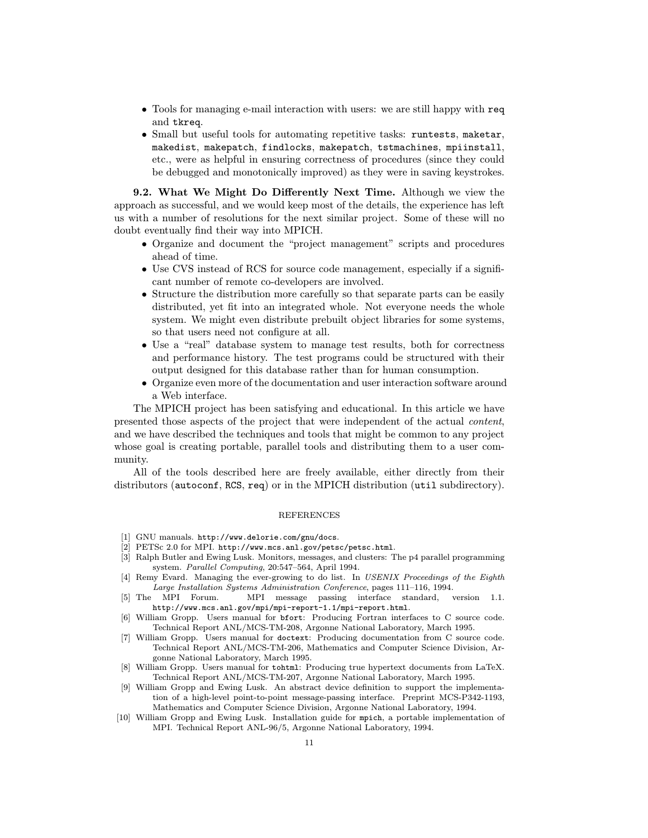- Tools for managing e-mail interaction with users: we are still happy with req and tkreq.
- Small but useful tools for automating repetitive tasks: runtests, maketar, makedist, makepatch, findlocks, makepatch, tstmachines, mpiinstall, etc., were as helpful in ensuring correctness of procedures (since they could be debugged and monotonically improved) as they were in saving keystrokes.

9.2. What We Might Do Differently Next Time. Although we view the approach as successful, and we would keep most of the details, the experience has left us with a number of resolutions for the next similar project. Some of these will no doubt eventually find their way into MPICH.

- Organize and document the "project management" scripts and procedures ahead of time.
- Use CVS instead of RCS for source code management, especially if a significant number of remote co-developers are involved.
- Structure the distribution more carefully so that separate parts can be easily distributed, yet fit into an integrated whole. Not everyone needs the whole system. We might even distribute prebuilt object libraries for some systems, so that users need not configure at all.
- Use a "real" database system to manage test results, both for correctness and performance history. The test programs could be structured with their output designed for this database rather than for human consumption.
- Organize even more of the documentation and user interaction software around a Web interface.

The MPICH project has been satisfying and educational. In this article we have presented those aspects of the project that were independent of the actual content, and we have described the techniques and tools that might be common to any project whose goal is creating portable, parallel tools and distributing them to a user community.

All of the tools described here are freely available, either directly from their distributors (autoconf, RCS, req) or in the MPICH distribution (util subdirectory).

## REFERENCES

- [1] GNU manuals. http://www.delorie.com/gnu/docs.
- [2] PETSc 2.0 for MPI. http://www.mcs.anl.gov/petsc/petsc.html.
- [3] Ralph Butler and Ewing Lusk. Monitors, messages, and clusters: The p4 parallel programming system. Parallel Computing, 20:547–564, April 1994.
- [4] Remy Evard. Managing the ever-growing to do list. In USENIX Proceedings of the Eighth Large Installation Systems Administration Conference, pages 111–116, 1994.
- [5] The MPI Forum. MPI message passing interface standard, version 1.1. http://www.mcs.anl.gov/mpi/mpi-report-1.1/mpi-report.html.
- [6] William Gropp. Users manual for bfort: Producing Fortran interfaces to C source code. Technical Report ANL/MCS-TM-208, Argonne National Laboratory, March 1995.
- [7] William Gropp. Users manual for doctext: Producing documentation from C source code. Technical Report ANL/MCS-TM-206, Mathematics and Computer Science Division, Argonne National Laboratory, March 1995.
- [8] William Gropp. Users manual for tohtml: Producing true hypertext documents from LaTeX. Technical Report ANL/MCS-TM-207, Argonne National Laboratory, March 1995.
- [9] William Gropp and Ewing Lusk. An abstract device definition to support the implementation of a high-level point-to-point message-passing interface. Preprint MCS-P342-1193, Mathematics and Computer Science Division, Argonne National Laboratory, 1994.
- [10] William Gropp and Ewing Lusk. Installation guide for mpich, a portable implementation of MPI. Technical Report ANL-96/5, Argonne National Laboratory, 1994.